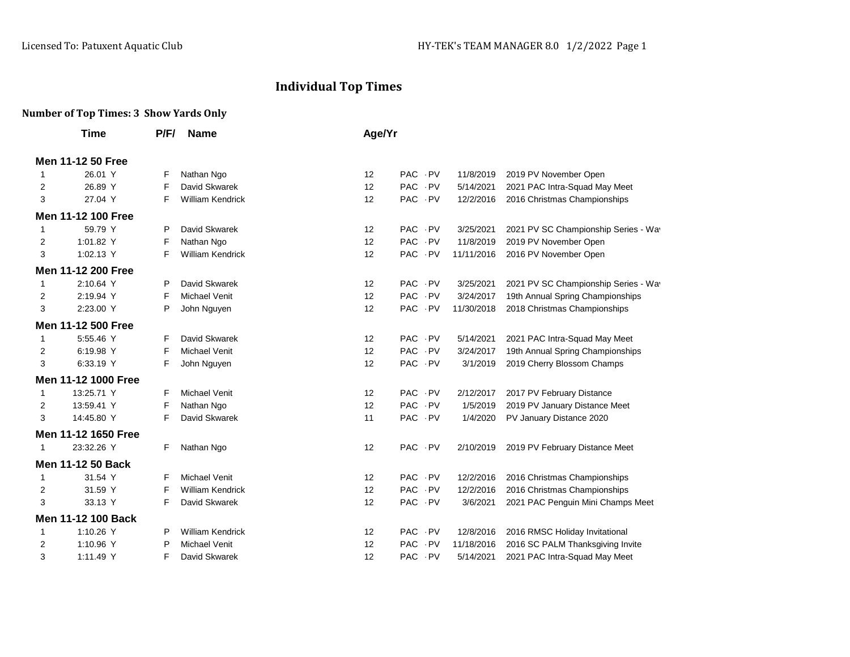## **Individual Top Times**

## **Number of Top Times: 3 Show Yards Only**

|   | Time                      | P/F/ | <b>Name</b>             | Age/Yr            |        |            |                                      |
|---|---------------------------|------|-------------------------|-------------------|--------|------------|--------------------------------------|
|   | Men 11-12 50 Free         |      |                         |                   |        |            |                                      |
| 1 | 26.01 Y                   | F    | Nathan Ngo              | 12                | PAC PV | 11/8/2019  | 2019 PV November Open                |
| 2 | 26.89 Y                   | F    | David Skwarek           | 12                | PAC PV | 5/14/2021  | 2021 PAC Intra-Squad May Meet        |
| 3 | 27.04 Y                   | F    | <b>William Kendrick</b> | 12                | PAC PV | 12/2/2016  | 2016 Christmas Championships         |
|   | <b>Men 11-12 100 Free</b> |      |                         |                   |        |            |                                      |
| 1 | 59.79 Y                   | P    | David Skwarek           | $12 \overline{ }$ | PAC PV | 3/25/2021  | 2021 PV SC Championship Series - Way |
| 2 | 1:01.82 Y                 | F    | Nathan Ngo              | 12                | PAC PV | 11/8/2019  | 2019 PV November Open                |
| 3 | 1:02.13 Y                 | F    | William Kendrick        | 12                | PAC PV | 11/11/2016 | 2016 PV November Open                |
|   | <b>Men 11-12 200 Free</b> |      |                         |                   |        |            |                                      |
| 1 | 2:10.64 Y                 | P    | David Skwarek           | 12                | PAC PV | 3/25/2021  | 2021 PV SC Championship Series - Wav |
| 2 | 2:19.94 Y                 | F    | Michael Venit           | 12                | PAC PV | 3/24/2017  | 19th Annual Spring Championships     |
| 3 | 2:23.00 Y                 | P    | John Nguyen             | 12                | PAC PV | 11/30/2018 | 2018 Christmas Championships         |
|   | <b>Men 11-12 500 Free</b> |      |                         |                   |        |            |                                      |
| 1 | 5:55.46 Y                 | F    | David Skwarek           | 12                | PAC PV | 5/14/2021  | 2021 PAC Intra-Squad May Meet        |
| 2 | 6:19.98 Y                 | F    | <b>Michael Venit</b>    | 12                | PAC PV | 3/24/2017  | 19th Annual Spring Championships     |
| 3 | 6:33.19 Y                 | F    | John Nguyen             | 12                | PAC PV | 3/1/2019   | 2019 Cherry Blossom Champs           |
|   | Men 11-12 1000 Free       |      |                         |                   |        |            |                                      |
| 1 | 13:25.71 Y                | F    | <b>Michael Venit</b>    | 12                | PAC PV | 2/12/2017  | 2017 PV February Distance            |
| 2 | 13:59.41 Y                | F    | Nathan Ngo              | 12                | PAC PV | 1/5/2019   | 2019 PV January Distance Meet        |
| 3 | 14:45.80 Y                | F    | David Skwarek           | 11                | PAC PV | 1/4/2020   | PV January Distance 2020             |
|   | Men 11-12 1650 Free       |      |                         |                   |        |            |                                      |
| 1 | 23:32.26 Y                | F    | Nathan Ngo              | 12                | PAC PV | 2/10/2019  | 2019 PV February Distance Meet       |
|   | Men 11-12 50 Back         |      |                         |                   |        |            |                                      |
| 1 | 31.54 Y                   | F    | <b>Michael Venit</b>    | 12                | PAC PV | 12/2/2016  | 2016 Christmas Championships         |
| 2 | 31.59 Y                   | F    | <b>William Kendrick</b> | 12                | PAC PV | 12/2/2016  | 2016 Christmas Championships         |
| 3 | 33.13 Y                   | F    | David Skwarek           | 12                | PAC PV | 3/6/2021   | 2021 PAC Penguin Mini Champs Meet    |
|   | Men 11-12 100 Back        |      |                         |                   |        |            |                                      |
| 1 | 1:10.26 Y                 | P    | <b>William Kendrick</b> | 12                | PAC PV | 12/8/2016  | 2016 RMSC Holiday Invitational       |
| 2 | 1:10.96 Y                 | P    | <b>Michael Venit</b>    | 12                | PAC PV | 11/18/2016 | 2016 SC PALM Thanksgiving Invite     |
| 3 | 1:11.49 Y                 | F    | David Skwarek           | 12                | PAC PV | 5/14/2021  | 2021 PAC Intra-Squad May Meet        |